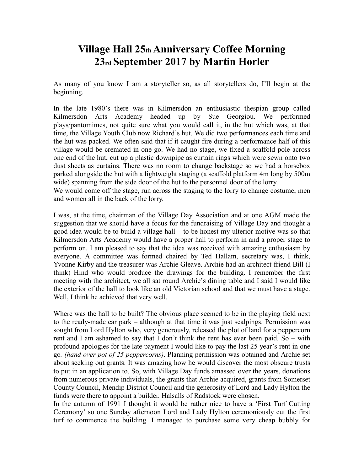## **Village Hall 25th Anniversary Coffee Morning 23rd September 2017 by Martin Horler**

As many of you know I am a storyteller so, as all storytellers do, I'll begin at the beginning.

In the late 1980's there was in Kilmersdon an enthusiastic thespian group called Kilmersdon Arts Academy headed up by Sue Georgiou. We performed plays/pantomimes, not quite sure what you would call it, in the hut which was, at that time, the Village Youth Club now Richard's hut. We did two performances each time and the hut was packed. We often said that if it caught fire during a performance half of this village would be cremated in one go. We had no stage, we fixed a scaffold pole across one end of the hut, cut up a plastic downpipe as curtain rings which were sewn onto two dust sheets as curtains. There was no room to change backstage so we had a horsebox parked alongside the hut with a lightweight staging (a scaffold platform 4m long by 500m wide) spanning from the side door of the hut to the personnel door of the lorry.

We would come off the stage, run across the staging to the lorry to change costume, men and women all in the back of the lorry.

I was, at the time, chairman of the Village Day Association and at one AGM made the suggestion that we should have a focus for the fundraising of Village Day and thought a good idea would be to build a village hall – to be honest my ulterior motive was so that Kilmersdon Arts Academy would have a proper hall to perform in and a proper stage to perform on. I am pleased to say that the idea was received with amazing enthusiasm by everyone. A committee was formed chaired by Ted Hallam, secretary was, I think, Yvonne Kirby and the treasurer was Archie Gleave. Archie had an architect friend Bill (I think) Hind who would produce the drawings for the building. I remember the first meeting with the architect, we all sat round Archie's dining table and I said I would like the exterior of the hall to look like an old Victorian school and that we must have a stage. Well, I think he achieved that very well.

Where was the hall to be built? The obvious place seemed to be in the playing field next to the ready-made car park – although at that time it was just scalpings. Permission was sought from Lord Hylton who, very generously, released the plot of land for a peppercorn rent and I am ashamed to say that I don't think the rent has ever been paid. So – with profound apologies for the late payment I would like to pay the last 25 year's rent in one go*. (hand over pot of 25 peppercorns)*. Planning permission was obtained and Archie set about seeking out grants. It was amazing how he would discover the most obscure trusts to put in an application to. So, with Village Day funds amassed over the years, donations from numerous private individuals, the grants that Archie acquired, grants from Somerset County Council, Mendip District Council and the generosity of Lord and Lady Hylton the funds were there to appoint a builder. Halsalls of Radstock were chosen.

In the autumn of 1991 I thought it would be rather nice to have a 'First Turf Cutting Ceremony' so one Sunday afternoon Lord and Lady Hylton ceremoniously cut the first turf to commence the building. I managed to purchase some very cheap bubbly for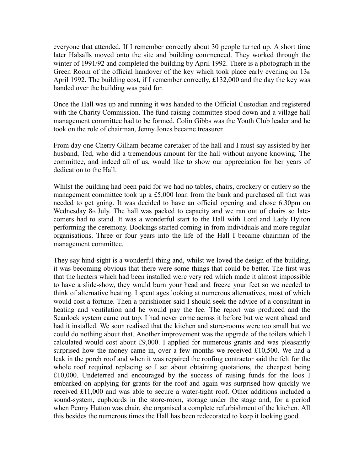everyone that attended. If I remember correctly about 30 people turned up. A short time later Halsalls moved onto the site and building commenced. They worked through the winter of 1991/92 and completed the building by April 1992. There is a photograph in the Green Room of the official handover of the key which took place early evening on  $13<sub>th</sub>$ April 1992. The building cost, if I remember correctly, £132,000 and the day the key was handed over the building was paid for.

Once the Hall was up and running it was handed to the Official Custodian and registered with the Charity Commission. The fund-raising committee stood down and a village hall management committee had to be formed. Colin Gibbs was the Youth Club leader and he took on the role of chairman, Jenny Jones became treasurer.

From day one Cherry Gilham became caretaker of the hall and I must say assisted by her husband, Ted, who did a tremendous amount for the hall without anyone knowing. The committee, and indeed all of us, would like to show our appreciation for her years of dedication to the Hall.

Whilst the building had been paid for we had no tables, chairs, crockery or cutlery so the management committee took up a £5,000 loan from the bank and purchased all that was needed to get going. It was decided to have an official opening and chose 6.30pm on Wednesday 8th July. The hall was packed to capacity and we ran out of chairs so latecomers had to stand. It was a wonderful start to the Hall with Lord and Lady Hylton performing the ceremony. Bookings started coming in from individuals and more regular organisations. Three or four years into the life of the Hall I became chairman of the management committee.

They say hind-sight is a wonderful thing and, whilst we loved the design of the building, it was becoming obvious that there were some things that could be better. The first was that the heaters which had been installed were very red which made it almost impossible to have a slide-show, they would burn your head and freeze your feet so we needed to think of alternative heating. I spent ages looking at numerous alternatives, most of which would cost a fortune. Then a parishioner said I should seek the advice of a consultant in heating and ventilation and he would pay the fee. The report was produced and the Scanlock system came out top. I had never come across it before but we went ahead and had it installed. We soon realised that the kitchen and store-rooms were too small but we could do nothing about that. Another improvement was the upgrade of the toilets which I calculated would cost about £9,000. I applied for numerous grants and was pleasantly surprised how the money came in, over a few months we received £10,500. We had a leak in the porch roof and when it was repaired the roofing contractor said the felt for the whole roof required replacing so I set about obtaining quotations, the cheapest being £10,000. Undeterred and encouraged by the success of raising funds for the loos I embarked on applying for grants for the roof and again was surprised how quickly we received £11,000 and was able to secure a water-tight roof. Other additions included a sound-system, cupboards in the store-room, storage under the stage and, for a period when Penny Hutton was chair, she organised a complete refurbishment of the kitchen. All this besides the numerous times the Hall has been redecorated to keep it looking good.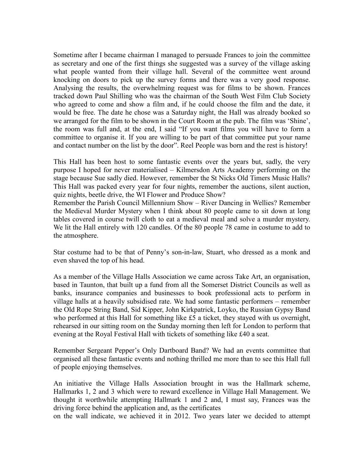Sometime after I became chairman I managed to persuade Frances to join the committee as secretary and one of the first things she suggested was a survey of the village asking what people wanted from their village hall. Several of the committee went around knocking on doors to pick up the survey forms and there was a very good response. Analysing the results, the overwhelming request was for films to be shown. Frances tracked down Paul Shilling who was the chairman of the South West Film Club Society who agreed to come and show a film and, if he could choose the film and the date, it would be free. The date he chose was a Saturday night, the Hall was already booked so we arranged for the film to be shown in the Court Room at the pub. The film was 'Shine', the room was full and, at the end, I said "If you want films you will have to form a committee to organise it. If you are willing to be part of that committee put your name and contact number on the list by the door". Reel People was born and the rest is history!

This Hall has been host to some fantastic events over the years but, sadly, the very purpose I hoped for never materialised – Kilmersdon Arts Academy performing on the stage because Sue sadly died. However, remember the St Nicks Old Timers Music Halls? This Hall was packed every year for four nights, remember the auctions, silent auction, quiz nights, beetle drive, the WI Flower and Produce Show?

Remember the Parish Council Millennium Show – River Dancing in Wellies? Remember the Medieval Murder Mystery when I think about 80 people came to sit down at long tables covered in course twill cloth to eat a medieval meal and solve a murder mystery. We lit the Hall entirely with 120 candles. Of the 80 people 78 came in costume to add to the atmosphere.

Star costume had to be that of Penny's son-in-law, Stuart, who dressed as a monk and even shaved the top of his head.

As a member of the Village Halls Association we came across Take Art, an organisation, based in Taunton, that built up a fund from all the Somerset District Councils as well as banks, insurance companies and businesses to book professional acts to perform in village halls at a heavily subsidised rate. We had some fantastic performers – remember the Old Rope String Band, Sid Kipper, John Kirkpatrick, Loyko, the Russian Gypsy Band who performed at this Hall for something like £5 a ticket, they stayed with us overnight, rehearsed in our sitting room on the Sunday morning then left for London to perform that evening at the Royal Festival Hall with tickets of something like £40 a seat.

Remember Sergeant Pepper's Only Dartboard Band? We had an events committee that organised all these fantastic events and nothing thrilled me more than to see this Hall full of people enjoying themselves.

An initiative the Village Halls Association brought in was the Hallmark scheme, Hallmarks 1, 2 and 3 which were to reward excellence in Village Hall Management. We thought it worthwhile attempting Hallmark 1 and 2 and, I must say, Frances was the driving force behind the application and, as the certificates

on the wall indicate, we achieved it in 2012. Two years later we decided to attempt